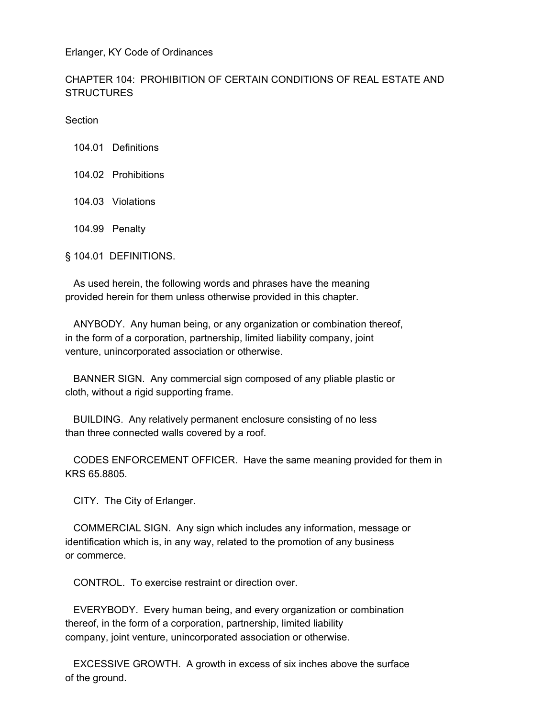Erlanger, KY Code of Ordinances

## CHAPTER 104: PROHIBITION OF CERTAIN CONDITIONS OF REAL ESTATE AND **STRUCTURES**

**Section** 

104.01 Definitions

- 104.02 Prohibitions
- 104.03 Violations
- 104.99 Penalty

§ 104.01 DEFINITIONS.

 As used herein, the following words and phrases have the meaning provided herein for them unless otherwise provided in this chapter.

 ANYBODY. Any human being, or any organization or combination thereof, in the form of a corporation, partnership, limited liability company, joint venture, unincorporated association or otherwise.

 BANNER SIGN. Any commercial sign composed of any pliable plastic or cloth, without a rigid supporting frame.

 BUILDING. Any relatively permanent enclosure consisting of no less than three connected walls covered by a roof.

 CODES ENFORCEMENT OFFICER. Have the same meaning provided for them in KRS 65.8805.

CITY. The City of Erlanger.

 COMMERCIAL SIGN. Any sign which includes any information, message or identification which is, in any way, related to the promotion of any business or commerce.

CONTROL. To exercise restraint or direction over.

 EVERYBODY. Every human being, and every organization or combination thereof, in the form of a corporation, partnership, limited liability company, joint venture, unincorporated association or otherwise.

 EXCESSIVE GROWTH. A growth in excess of six inches above the surface of the ground.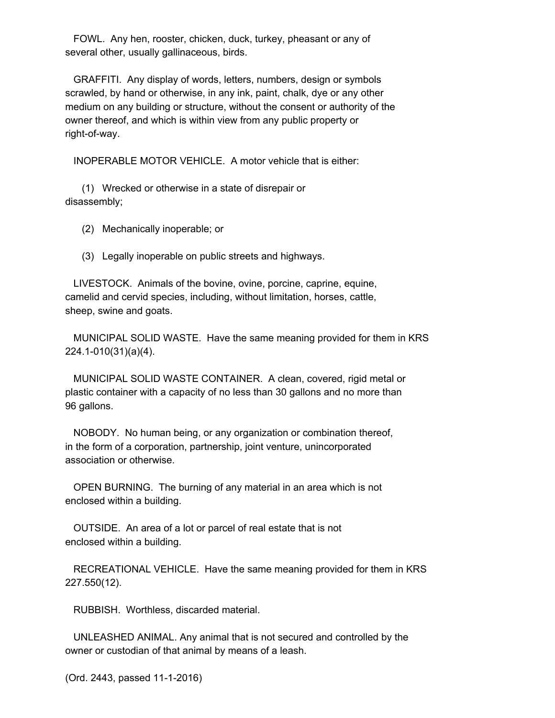FOWL. Any hen, rooster, chicken, duck, turkey, pheasant or any of several other, usually gallinaceous, birds.

 GRAFFITI. Any display of words, letters, numbers, design or symbols scrawled, by hand or otherwise, in any ink, paint, chalk, dye or any other medium on any building or structure, without the consent or authority of the owner thereof, and which is within view from any public property or right-of-way.

INOPERABLE MOTOR VEHICLE. A motor vehicle that is either:

 (1) Wrecked or otherwise in a state of disrepair or disassembly;

(2) Mechanically inoperable; or

(3) Legally inoperable on public streets and highways.

 LIVESTOCK. Animals of the bovine, ovine, porcine, caprine, equine, camelid and cervid species, including, without limitation, horses, cattle, sheep, swine and goats.

 MUNICIPAL SOLID WASTE. Have the same meaning provided for them in KRS 224.1-010(31)(a)(4).

 MUNICIPAL SOLID WASTE CONTAINER. A clean, covered, rigid metal or plastic container with a capacity of no less than 30 gallons and no more than 96 gallons.

 NOBODY. No human being, or any organization or combination thereof, in the form of a corporation, partnership, joint venture, unincorporated association or otherwise.

 OPEN BURNING. The burning of any material in an area which is not enclosed within a building.

 OUTSIDE. An area of a lot or parcel of real estate that is not enclosed within a building.

 RECREATIONAL VEHICLE. Have the same meaning provided for them in KRS 227.550(12).

RUBBISH. Worthless, discarded material.

 UNLEASHED ANIMAL. Any animal that is not secured and controlled by the owner or custodian of that animal by means of a leash.

(Ord. 2443, passed 11-1-2016)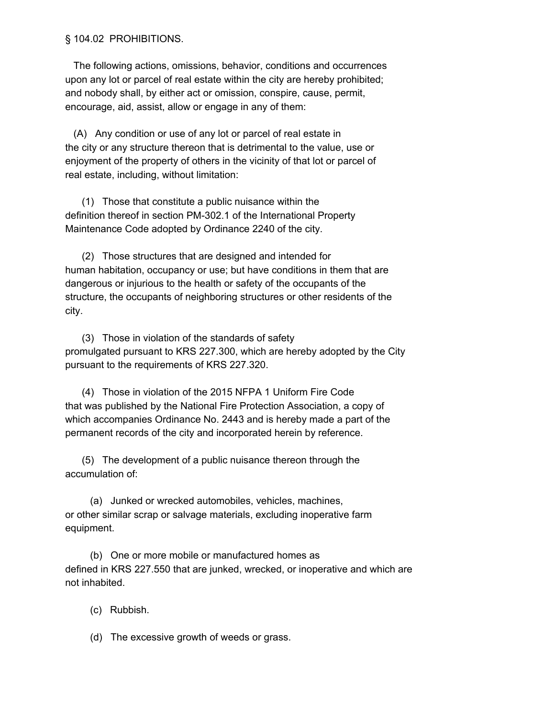## § 104.02 PROHIBITIONS.

 The following actions, omissions, behavior, conditions and occurrences upon any lot or parcel of real estate within the city are hereby prohibited; and nobody shall, by either act or omission, conspire, cause, permit, encourage, aid, assist, allow or engage in any of them:

 (A) Any condition or use of any lot or parcel of real estate in the city or any structure thereon that is detrimental to the value, use or enjoyment of the property of others in the vicinity of that lot or parcel of real estate, including, without limitation:

 (1) Those that constitute a public nuisance within the definition thereof in section PM-302.1 of the International Property Maintenance Code adopted by Ordinance 2240 of the city.

 (2) Those structures that are designed and intended for human habitation, occupancy or use; but have conditions in them that are dangerous or injurious to the health or safety of the occupants of the structure, the occupants of neighboring structures or other residents of the city.

 (3) Those in violation of the standards of safety promulgated pursuant to KRS 227.300, which are hereby adopted by the City pursuant to the requirements of KRS 227.320.

 (4) Those in violation of the 2015 NFPA 1 Uniform Fire Code that was published by the National Fire Protection Association, a copy of which accompanies Ordinance No. 2443 and is hereby made a part of the permanent records of the city and incorporated herein by reference.

 (5) The development of a public nuisance thereon through the accumulation of:

 (a) Junked or wrecked automobiles, vehicles, machines, or other similar scrap or salvage materials, excluding inoperative farm equipment.

 (b) One or more mobile or manufactured homes as defined in KRS 227.550 that are junked, wrecked, or inoperative and which are not inhabited.

(c) Rubbish.

(d) The excessive growth of weeds or grass.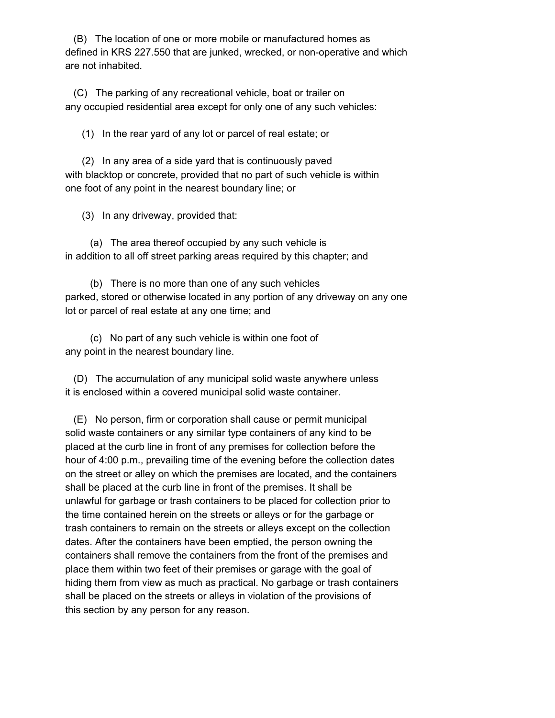(B) The location of one or more mobile or manufactured homes as defined in KRS 227.550 that are junked, wrecked, or non-operative and which are not inhabited.

 (C) The parking of any recreational vehicle, boat or trailer on any occupied residential area except for only one of any such vehicles:

(1) In the rear yard of any lot or parcel of real estate; or

 (2) In any area of a side yard that is continuously paved with blacktop or concrete, provided that no part of such vehicle is within one foot of any point in the nearest boundary line; or

(3) In any driveway, provided that:

 (a) The area thereof occupied by any such vehicle is in addition to all off street parking areas required by this chapter; and

 (b) There is no more than one of any such vehicles parked, stored or otherwise located in any portion of any driveway on any one lot or parcel of real estate at any one time; and

 (c) No part of any such vehicle is within one foot of any point in the nearest boundary line.

 (D) The accumulation of any municipal solid waste anywhere unless it is enclosed within a covered municipal solid waste container.

 (E) No person, firm or corporation shall cause or permit municipal solid waste containers or any similar type containers of any kind to be placed at the curb line in front of any premises for collection before the hour of 4:00 p.m., prevailing time of the evening before the collection dates on the street or alley on which the premises are located, and the containers shall be placed at the curb line in front of the premises. It shall be unlawful for garbage or trash containers to be placed for collection prior to the time contained herein on the streets or alleys or for the garbage or trash containers to remain on the streets or alleys except on the collection dates. After the containers have been emptied, the person owning the containers shall remove the containers from the front of the premises and place them within two feet of their premises or garage with the goal of hiding them from view as much as practical. No garbage or trash containers shall be placed on the streets or alleys in violation of the provisions of this section by any person for any reason.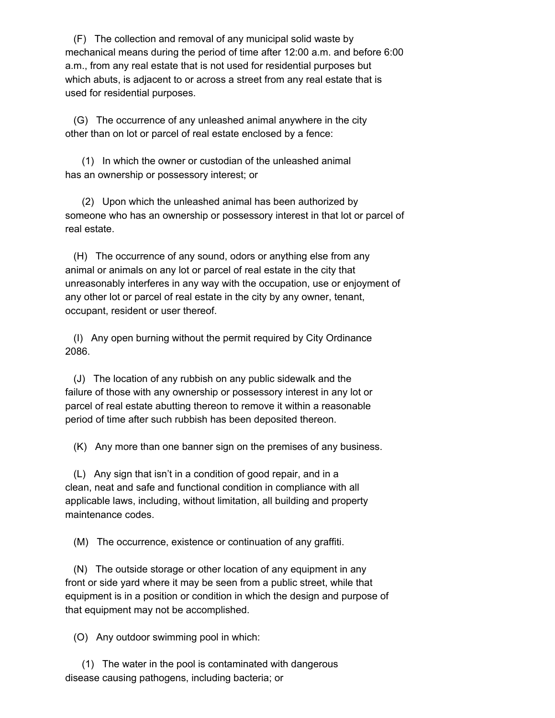(F) The collection and removal of any municipal solid waste by mechanical means during the period of time after 12:00 a.m. and before 6:00 a.m., from any real estate that is not used for residential purposes but which abuts, is adjacent to or across a street from any real estate that is used for residential purposes.

 (G) The occurrence of any unleashed animal anywhere in the city other than on lot or parcel of real estate enclosed by a fence:

 (1) In which the owner or custodian of the unleashed animal has an ownership or possessory interest; or

 (2) Upon which the unleashed animal has been authorized by someone who has an ownership or possessory interest in that lot or parcel of real estate.

 (H) The occurrence of any sound, odors or anything else from any animal or animals on any lot or parcel of real estate in the city that unreasonably interferes in any way with the occupation, use or enjoyment of any other lot or parcel of real estate in the city by any owner, tenant, occupant, resident or user thereof.

 (I) Any open burning without the permit required by City Ordinance 2086.

 (J) The location of any rubbish on any public sidewalk and the failure of those with any ownership or possessory interest in any lot or parcel of real estate abutting thereon to remove it within a reasonable period of time after such rubbish has been deposited thereon.

(K) Any more than one banner sign on the premises of any business.

 (L) Any sign that isn't in a condition of good repair, and in a clean, neat and safe and functional condition in compliance with all applicable laws, including, without limitation, all building and property maintenance codes.

(M) The occurrence, existence or continuation of any graffiti.

 (N) The outside storage or other location of any equipment in any front or side yard where it may be seen from a public street, while that equipment is in a position or condition in which the design and purpose of that equipment may not be accomplished.

(O) Any outdoor swimming pool in which:

 (1) The water in the pool is contaminated with dangerous disease causing pathogens, including bacteria; or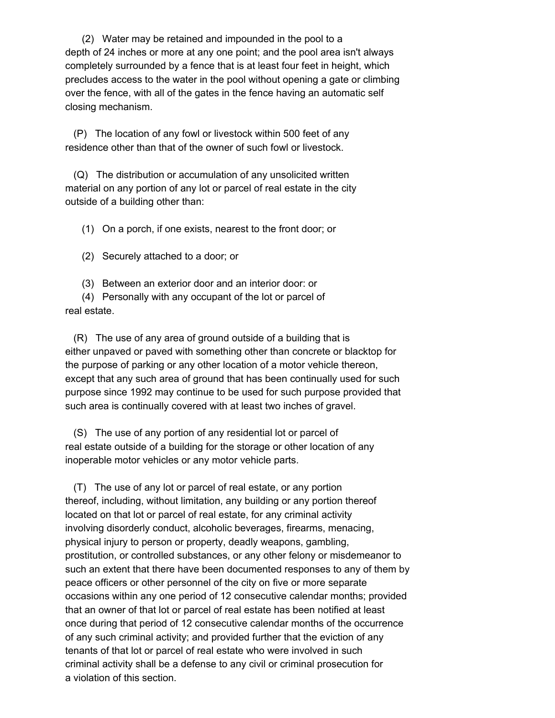(2) Water may be retained and impounded in the pool to a depth of 24 inches or more at any one point; and the pool area isn't always completely surrounded by a fence that is at least four feet in height, which precludes access to the water in the pool without opening a gate or climbing over the fence, with all of the gates in the fence having an automatic self closing mechanism.

 (P) The location of any fowl or livestock within 500 feet of any residence other than that of the owner of such fowl or livestock.

 (Q) The distribution or accumulation of any unsolicited written material on any portion of any lot or parcel of real estate in the city outside of a building other than:

(1) On a porch, if one exists, nearest to the front door; or

(2) Securely attached to a door; or

(3) Between an exterior door and an interior door: or

 (4) Personally with any occupant of the lot or parcel of real estate.

 (R) The use of any area of ground outside of a building that is either unpaved or paved with something other than concrete or blacktop for the purpose of parking or any other location of a motor vehicle thereon, except that any such area of ground that has been continually used for such purpose since 1992 may continue to be used for such purpose provided that such area is continually covered with at least two inches of gravel.

 (S) The use of any portion of any residential lot or parcel of real estate outside of a building for the storage or other location of any inoperable motor vehicles or any motor vehicle parts.

 (T) The use of any lot or parcel of real estate, or any portion thereof, including, without limitation, any building or any portion thereof located on that lot or parcel of real estate, for any criminal activity involving disorderly conduct, alcoholic beverages, firearms, menacing, physical injury to person or property, deadly weapons, gambling, prostitution, or controlled substances, or any other felony or misdemeanor to such an extent that there have been documented responses to any of them by peace officers or other personnel of the city on five or more separate occasions within any one period of 12 consecutive calendar months; provided that an owner of that lot or parcel of real estate has been notified at least once during that period of 12 consecutive calendar months of the occurrence of any such criminal activity; and provided further that the eviction of any tenants of that lot or parcel of real estate who were involved in such criminal activity shall be a defense to any civil or criminal prosecution for a violation of this section.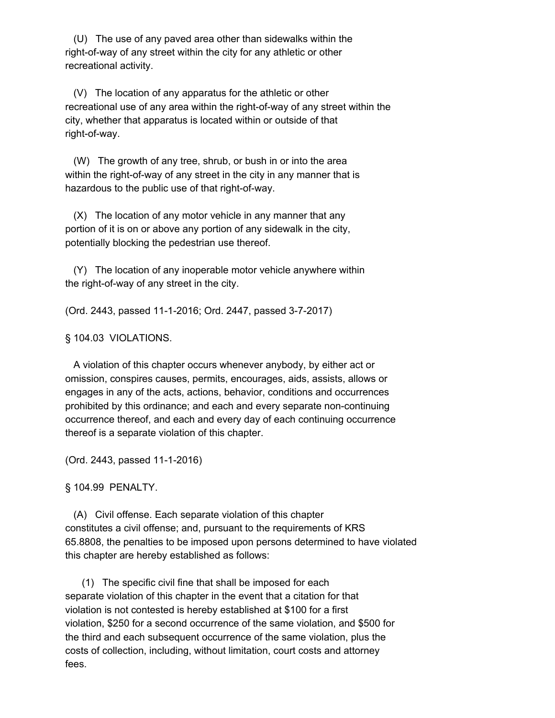(U) The use of any paved area other than sidewalks within the right-of-way of any street within the city for any athletic or other recreational activity.

 (V) The location of any apparatus for the athletic or other recreational use of any area within the right-of-way of any street within the city, whether that apparatus is located within or outside of that right-of-way.

 (W) The growth of any tree, shrub, or bush in or into the area within the right-of-way of any street in the city in any manner that is hazardous to the public use of that right-of-way.

 (X) The location of any motor vehicle in any manner that any portion of it is on or above any portion of any sidewalk in the city, potentially blocking the pedestrian use thereof.

 (Y) The location of any inoperable motor vehicle anywhere within the right-of-way of any street in the city.

(Ord. 2443, passed 11-1-2016; Ord. 2447, passed 3-7-2017)

§ 104.03 VIOLATIONS.

 A violation of this chapter occurs whenever anybody, by either act or omission, conspires causes, permits, encourages, aids, assists, allows or engages in any of the acts, actions, behavior, conditions and occurrences prohibited by this ordinance; and each and every separate non-continuing occurrence thereof, and each and every day of each continuing occurrence thereof is a separate violation of this chapter.

(Ord. 2443, passed 11-1-2016)

§ 104.99 PENALTY.

 (A) Civil offense. Each separate violation of this chapter constitutes a civil offense; and, pursuant to the requirements of KRS 65.8808, the penalties to be imposed upon persons determined to have violated this chapter are hereby established as follows:

 (1) The specific civil fine that shall be imposed for each separate violation of this chapter in the event that a citation for that violation is not contested is hereby established at \$100 for a first violation, \$250 for a second occurrence of the same violation, and \$500 for the third and each subsequent occurrence of the same violation, plus the costs of collection, including, without limitation, court costs and attorney fees.